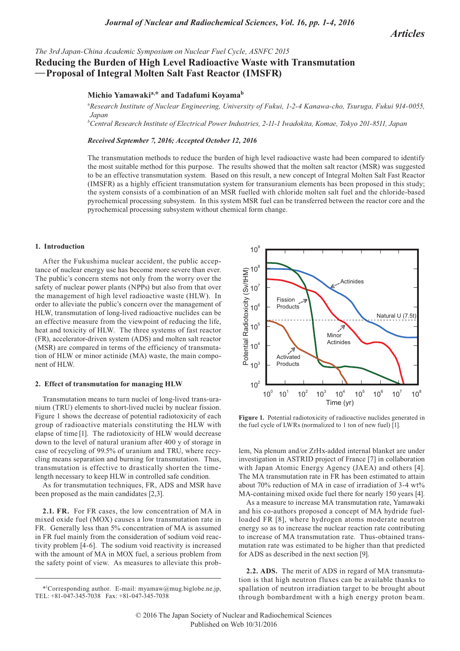*The 3rd Japan-China Academic Symposium on Nuclear Fuel Cycle, ASNFC 2015*

# **Reducing the Burden of High Level Radioactive Waste with Transmutation —Proposal of Integral Molten Salt Fast Reactor (IMSFR)**

# **Michio Yamawakia, \* and Tadafumi Koyamab**

<sup>a</sup>*Research Institute of Nuclear Engineering, University of Fukui, 1-2-4 Kanawa-cho, Tsuruga, Fukui 914-0055, Japan*

*b Central Research Institute of Electrical Power Industries, 2-11-1 Iwadokita, Komae, Tokyo 201-8511, Japan*

## *Received September 7, 2016; Accepted October 12, 2016*

The transmutation methods to reduce the burden of high level radioactive waste had been compared to identify the most suitable method for this purpose. The results showed that the molten salt reactor (MSR) was suggested to be an effective transmutation system. Based on this result, a new concept of Integral Molten Salt Fast Reactor (IMSFR) as a highly efficient transmutation system for transuranium elements has been proposed in this study; the system consists of a combination of an MSR fuelled with chloride molten salt fuel and the chloride-based pyrochemical processing subsystem. In this system MSR fuel can be transferred between the reactor core and the pyrochemical processing subsystem without chemical form change.

### **1. Introduction**

After the Fukushima nuclear accident, the public acceptance of nuclear energy use has become more severe than ever. The public's concern stems not only from the worry over the safety of nuclear power plants (NPPs) but also from that over the management of high level radioactive waste (HLW). In order to alleviate the public's concern over the management of HLW, transmutation of long-lived radioactive nuclides can be an effective measure from the viewpoint of reducing the life, heat and toxicity of HLW. The three systems of fast reactor (FR), accelerator-driven system (ADS) and molten salt reactor (MSR) are compared in terms of the efficiency of transmutation of HLW or minor actinide (MA) waste, the main component of HLW.

#### **2. Effect of transmutation for managing HLW**

Transmutation means to turn nuclei of long-lived trans-uranium (TRU) elements to short-lived nuclei by nuclear fission. Figure 1 shows the decrease of potential radiotoxicity of each group of radioactive materials constituting the HLW with elapse of time [1]. The radiotoxicity of HLW would decrease down to the level of natural uranium after 400 y of storage in case of recycling of 99.5% of uranium and TRU, where recycling means separation and burning for transmutation. Thus, transmutation is effective to drastically shorten the timelength necessary to keep HLW in controlled safe condition.

As for transmutation techniques, FR, ADS and MSR have been proposed as the main candidates [2,3].

**2.1. FR.** For FR cases, the low concentration of MA in mixed oxide fuel (MOX) causes a low transmutation rate in FR. Generally less than 5% concentration of MA is assumed in FR fuel mainly from the consideration of sodium void reactivity problem [4-6]. The sodium void reactivity is increased with the amount of MA in MOX fuel, a serious problem from the safety point of view. As measures to alleviate this prob-



**Figure 1.** Potential radiotoxicity of radioactive nuclides generated in the fuel cycle of LWRs (normalized to 1 ton of new fuel) [1].

lem, Na plenum and/or ZrHx-added internal blanket are under investigation in ASTRID project of France [7] in collaboration with Japan Atomic Energy Agency (JAEA) and others [4]. The MA transmutation rate in FR has been estimated to attain about 70% reduction of MA in case of irradiation of 3-4 wt% MA-containing mixed oxide fuel there for nearly 150 years [4].

As a measure to increase MA transmutation rate, Yamawaki and his co-authors proposed a concept of MA hydride fuelloaded FR [8], where hydrogen atoms moderate neutron energy so as to increase the nuclear reaction rate contributing to increase of MA transmutation rate. Thus-obtained transmutation rate was estimated to be higher than that predicted for ADS as described in the next section [9].

**2.2. ADS.** The merit of ADS in regard of MA transmutation is that high neutron fluxes can be available thanks to spallation of neutron irradiation target to be brought about through bombardment with a high energy proton beam.

<sup>\*1</sup> Corresponding author. E-mail: myamaw@mug.biglobe.ne.jp, TEL: +81-047-345-7038 Fax: +81-047-345-7038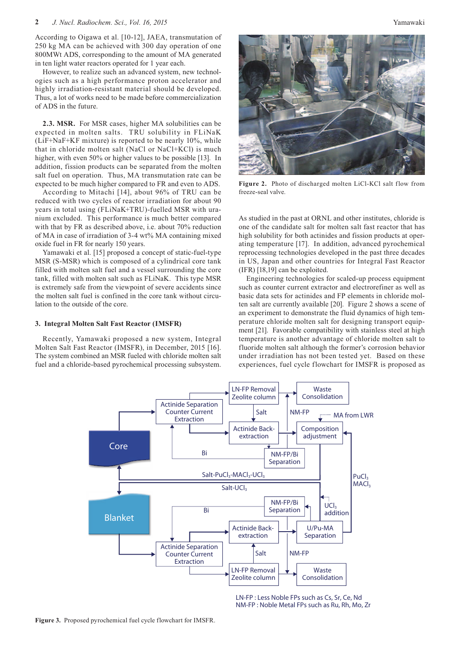According to Oigawa et al. [10-12], JAEA, transmutation of 250 kg MA can be achieved with 300 day operation of one 800MWt ADS, corresponding to the amount of MA generated in ten light water reactors operated for 1 year each.

However, to realize such an advanced system, new technologies such as a high performance proton accelerator and highly irradiation-resistant material should be developed. Thus, a lot of works need to be made before commercialization of ADS in the future.

**2.3. MSR.** For MSR cases, higher MA solubilities can be expected in molten salts. TRU solubility in FLiNaK (LiF+NaF+KF mixture) is reported to be nearly 10%, while that in chloride molten salt (NaCl or NaCl+KCl) is much higher, with even 50% or higher values to be possible [13]. In addition, fission products can be separated from the molten salt fuel on operation. Thus, MA transmutation rate can be expected to be much higher compared to FR and even to ADS.

According to Mitachi [14], about 96% of TRU can be reduced with two cycles of reactor irradiation for about 90 years in total using (FLiNaK+TRU)-fuelled MSR with uranium excluded. This performance is much better compared with that by FR as described above, i.e. about 70% reduction of MA in case of irradiation of 3-4 wt% MA containing mixed oxide fuel in FR for nearly 150 years.

Yamawaki et al. [15] proposed a concept of static-fuel-type MSR (S-MSR) which is composed of a cylindrical core tank filled with molten salt fuel and a vessel surrounding the core tank, filled with molten salt such as FLiNaK. This type MSR is extremely safe from the viewpoint of severe accidents since the molten salt fuel is confined in the core tank without circulation to the outside of the core.

#### **3. Integral Molten Salt Fast Reactor (IMSFR)**

Recently, Yamawaki proposed a new system, Integral Molten Salt Fast Reactor (IMSFR), in December, 2015 [16]. The system combined an MSR fueled with chloride molten salt fuel and a chloride-based pyrochemical processing subsystem.



**Figure 2.** Photo of discharged molten LiCl-KCl salt flow from freeze-seal valve.

As studied in the past at ORNL and other institutes, chloride is one of the candidate salt for molten salt fast reactor that has high solubility for both actinides and fission products at operating temperature [17]. In addition, advanced pyrochemical reprocessing technologies developed in the past three decades in US, Japan and other countries for Integral Fast Reactor (IFR) [18,19] can be exploited.

Engineering technologies for scaled-up process equipment such as counter current extractor and electrorefiner as well as basic data sets for actinides and FP elements in chloride molten salt are currently available [20]. Figure 2 shows a scene of an experiment to demonstrate the fluid dynamics of high temperature chloride molten salt for designing transport equipment [21]. Favorable compatibility with stainless steel at high temperature is another advantage of chloride molten salt to fluoride molten salt although the former's corrosion behavior under irradiation has not been tested yet. Based on these experiences, fuel cycle flowchart for IMSFR is proposed as



LN-FP : Less Noble FPs such as Cs, Sr, Ce, Nd NM-FP : Noble Metal FPs such as Ru, Rh, Mo, Zr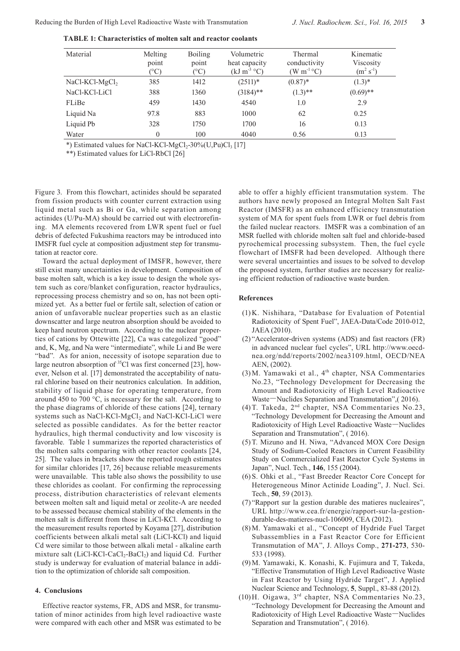| Material         | Melting<br>point<br>$(^\circ C)$ | <b>Boiling</b><br>point<br>$\rm ^{\circ}C)$ | Volumetric<br>heat capacity<br>$(kJ m^{-3} °C)$ | Thermal<br>conductivity<br>$(W m^{-1} {}^{\circ}C)$ | Kinematic<br>Viscosity<br>$(m^2 s^{-1})$ |
|------------------|----------------------------------|---------------------------------------------|-------------------------------------------------|-----------------------------------------------------|------------------------------------------|
| $NaCl-KCl-MgCl2$ | 385                              | 1412                                        | $(2511)*$                                       | $(0.87)$ *                                          | $(1.3)^*$                                |
| NaCl-KCl-LiCl    | 388                              | 1360                                        | $(3184)$ **                                     | $(1.3)$ **                                          | $(0.69)$ **                              |
| FLiBe            | 459                              | 1430                                        | 4540                                            | 1.0                                                 | 2.9                                      |
| Liquid Na        | 97.8                             | 883                                         | 1000                                            | 62                                                  | 0.25                                     |
| Liquid Pb        | 328                              | 1750                                        | 1700                                            | 16                                                  | 0.13                                     |
| Water            | $\Omega$                         | 100                                         | 4040                                            | 0.56                                                | 0.13                                     |
|                  |                                  |                                             |                                                 |                                                     |                                          |

**TABLE 1: Characteristics of molten salt and reactor coolants**

\*) Estimated values for NaCl-KCl-MgCl<sub>2</sub>-30%(U,Pu)Cl<sub>3</sub> [17]

\*\*) Estimated values for LiCl-RbCl [26]

Figure 3. From this flowchart, actinides should be separated from fission products with counter current extraction using liquid metal such as Bi or Ga, while separation among actinides (U/Pu-MA) should be carried out with electrorefining. MA elements recovered from LWR spent fuel or fuel debris of defected Fukushima reactors may be introduced into IMSFR fuel cycle at composition adjustment step for transmutation at reactor core.

Toward the actual deployment of IMSFR, however, there still exist many uncertainties in development. Composition of base molten salt, which is a key issue to design the whole system such as core/blanket configuration, reactor hydraulics, reprocessing process chemistry and so on, has not been optimized yet. As a better fuel or fertile salt, selection of cation or anion of unfavorable nuclear properties such as an elastic downscatter and large neutron absorption should be avoided to keep hard neutron spectrum. According to the nuclear properties of cations by Ottewitte [22], Ca was categolized "good" and, K, Mg, and Na were "intermediate", while Li and Be were "bad". As for anion, necessity of isotope separation due to large neutron absorption of  ${}^{35}$ Cl was first concerned [23], however, Nelson et al. [17] demonstrated the acceptability of natural chlorine based on their neutronics calculation. In addition, stability of liquid phase for operating temperature, from around 450 to 700 °C, is necessary for the salt. According to the phase diagrams of chloride of these cations [24], ternary systems such as NaCl-KCl-MgCl<sub>2</sub> and NaCl-KCl-LiCl were selected as possible candidates. As for the better reactor hydraulics, high thermal conductivity and low viscosity is favorable. Table 1 summarizes the reported characteristics of the molten salts comparing with other reactor coolants [24, 25]. The values in brackets show the reported rough estimates for similar chlorides [17, 26] because reliable measurements were unavailable. This table also shows the possibility to use these chlorides as coolant. For confirming the reprocessing process, distribution characteristics of relevant elements between molten salt and liquid metal or zeolite-A are needed to be assessed because chemical stability of the elements in the molten salt is different from those in LiCl-KCl. According to the measurement results reported by Koyama [27], distribution coefficients between alkali metal salt (LiCl-KCl) and liquid Cd were similar to those between alkali metal - alkaline earth mixture salt (LiCl-KCl-CaCl<sub>2</sub>-BaCl<sub>2</sub>) and liquid Cd. Further study is underway for evaluation of material balance in addition to the optimization of chloride salt composition.

### **4. Conclusions**

Effective reactor systems, FR, ADS and MSR, for transmutation of minor actinides from high level radioactive waste were compared with each other and MSR was estimated to be able to offer a highly efficient transmutation system. The authors have newly proposed an Integral Molten Salt Fast Reactor (IMSFR) as an enhanced efficiency transmutation system of MA for spent fuels from LWR or fuel debris from the failed nuclear reactors. IMSFR was a combination of an MSR fuelled with chloride molten salt fuel and chloride-based pyrochemical processing subsystem. Then, the fuel cycle flowchart of IMSFR had been developed. Although there were several uncertainties and issues to be solved to develop the proposed system, further studies are necessary for realizing efficient reduction of radioactive waste burden.

#### **References**

- (1) K. Nishihara, "Database for Evaluation of Potential Radiotoxicity of Spent Fuel", JAEA-Data/Code 2010-012, JAEA (2010).
- (2) "Accelerator-driven systems (ADS) and fast reactors (FR) in advanced nuclear fuel cycles", URL http://www.oecdnea.org/ndd/reports/2002/nea3109.html, OECD/NEA AEN, (2002).
- $(3)$  M. Yamawaki et al.,  $4<sup>th</sup>$  chapter, NSA Commentaries No.23, "Technology Development for Decreasing the Amount and Radiotoxicity of High Level Radioactive Waste**—**Nuclides Separation and Transmutation",( 2016).
- (4) T. Takeda, 2nd chapter, NSA Commentaries No.23, "Technology Development for Decreasing the Amount and Radiotoxicity of High Level Radioactive Waste**—**Nuclides Separation and Transmutation", ( 2016).
- (5) T. Mizuno and H. Niwa, "Advanced MOX Core Design Study of Sodium-Cooled Reactors in Current Feasibility Study on Commercialized Fast Reactor Cycle Systems in Japan", Nucl. Tech., **146**, 155 (2004).
- (6) S. Ohki et al., "Fast Breeder Reactor Core Concept for Heterogeneous Minor Actinide Loading", J. Nucl. Sci. Tech., **50**, 59 (2013).
- (7) "Rapport sur la gestion durable des matieres nucleaires", URL http://www.cea.fr/energie/rapport-sur-la-gestiondurable-des-matieres-nucl-106009, CEA (2012).
- (8) M. Yamawaki et al., "Concept of Hydride Fuel Target Subassemblies in a Fast Reactor Core for Efficient Transmutation of MA", J. Alloys Comp., **271-273**, 530- 533 (1998).
- (9) M. Yamawaki, K. Konashi, K. Fujimura and T, Takeda, "Effective Transmutation of High Level Radioactive Waste in Fast Reactor by Using Hydride Target", J. Applied Nuclear Science and Technology, **5**, Suppl., 83-88 (2012).
- (10) H. Oigawa, 3rd chapter, NSA Commentaries No.23, "Technology Development for Decreasing the Amount and Radiotoxicity of High Level Radioactive Waste**—**Nuclides Separation and Transmutation", ( 2016).